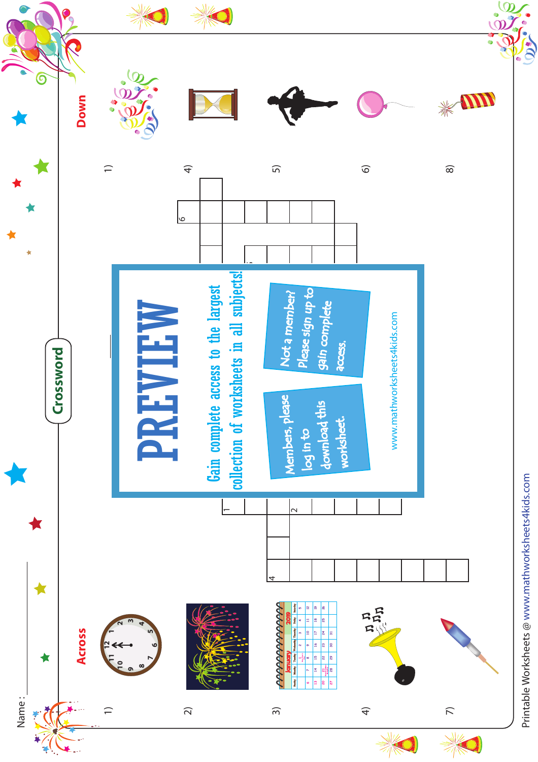